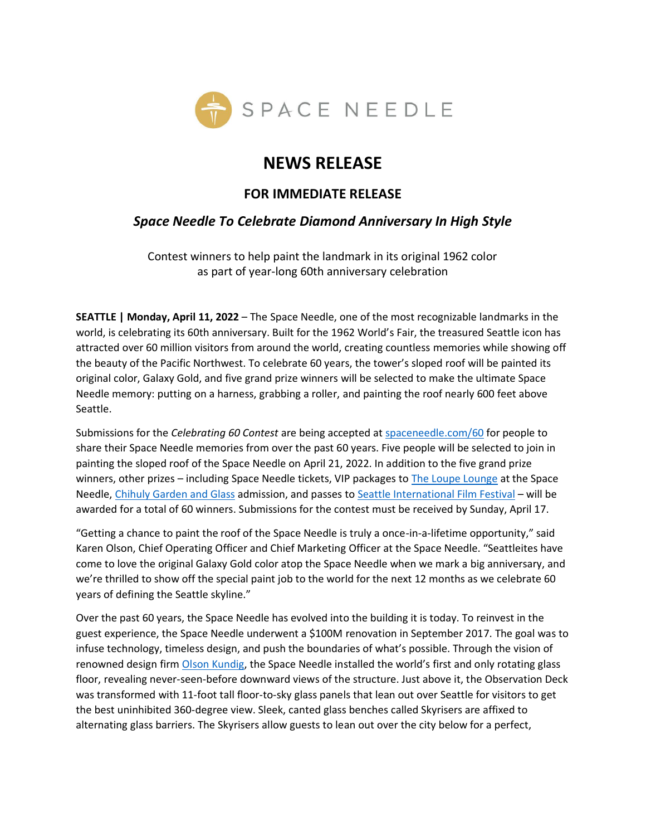

# **NEWS RELEASE**

### **FOR IMMEDIATE RELEASE**

## *Space Needle To Celebrate Diamond Anniversary In High Style*

Contest winners to help paint the landmark in its original 1962 color as part of year-long 60th anniversary celebration

**SEATTLE | Monday, April 11, 2022** – The Space Needle, one of the most recognizable landmarks in the world, is celebrating its 60th anniversary. Built for the 1962 World's Fair, the treasured Seattle icon has attracted over 60 million visitors from around the world, creating countless memories while showing off the beauty of the Pacific Northwest. To celebrate 60 years, the tower's sloped roof will be painted its original color, Galaxy Gold, and five grand prize winners will be selected to make the ultimate Space Needle memory: putting on a harness, grabbing a roller, and painting the roof nearly 600 feet above Seattle.

Submissions for the *Celebrating 60 Contest* are being accepted at [spaceneedle.com/60](https://www.spaceneedle.com/60) for people to share their Space Needle memories from over the past 60 years. Five people will be selected to join in painting the sloped roof of the Space Needle on April 21, 2022. In addition to the five grand prize winners, other prizes – including Space Needle tickets, VIP packages t[o The Loupe Lounge](https://www.spaceneedle.com/lounge) at the Space Needle, [Chihuly Garden and Glass](https://www.chihulygardenandglass.com/) admission, and passes to [Seattle International Film Festival](https://www.siff.net/) – will be awarded for a total of 60 winners. Submissions for the contest must be received by Sunday, April 17.

"Getting a chance to paint the roof of the Space Needle is truly a once-in-a-lifetime opportunity," said Karen Olson, Chief Operating Officer and Chief Marketing Officer at the Space Needle. "Seattleites have come to love the original Galaxy Gold color atop the Space Needle when we mark a big anniversary, and we're thrilled to show off the special paint job to the world for the next 12 months as we celebrate 60 years of defining the Seattle skyline."

Over the past 60 years, the Space Needle has evolved into the building it is today. To reinvest in the guest experience, the Space Needle underwent a \$100M renovation in September 2017. The goal was to infuse technology, timeless design, and push the boundaries of what's possible. Through the vision of renowned design firm [Olson Kundig](https://olsonkundig.com/), the Space Needle installed the world's first and only rotating glass floor, revealing never-seen-before downward views of the structure. Just above it, the Observation Deck was transformed with 11-foot tall floor-to-sky glass panels that lean out over Seattle for visitors to get the best uninhibited 360-degree view. Sleek, canted glass benches called Skyrisers are affixed to alternating glass barriers. The Skyrisers allow guests to lean out over the city below for a perfect,